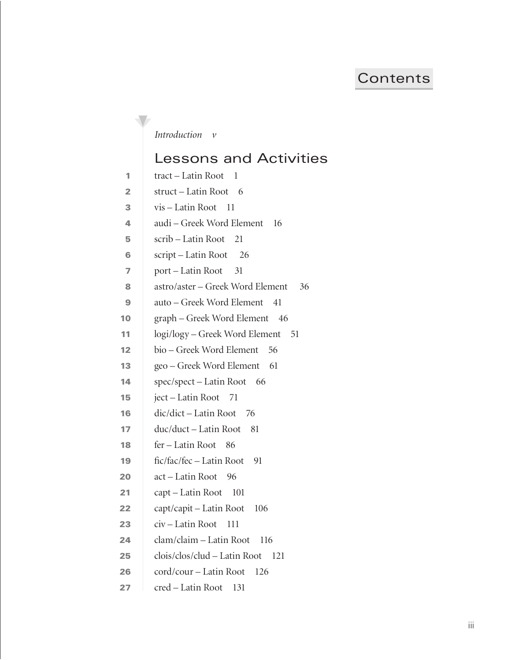## **Contents**

## *Introduction v*

 $\sqrt{2}$ 

## Lessons and Activities

| 1              | tract - Latin Root 1                   |
|----------------|----------------------------------------|
| $\overline{2}$ | struct - Latin Root 6                  |
| з              | vis - Latin Root 11                    |
| 4              | audi – Greek Word Element<br>16        |
| 5              | scrib – Latin Root<br>21               |
| 6              | script – Latin Root 26                 |
| $\overline{7}$ | port – Latin Root 31                   |
| 8              | astro/aster – Greek Word Element<br>36 |
| 9              | auto - Greek Word Element 41           |
| 10             | graph – Greek Word Element 46          |
| 11             | logi/logy – Greek Word Element<br>51   |
| 12             | bio – Greek Word Element<br>56         |
| 13             | geo – Greek Word Element 61            |
| 14             | spec/spect – Latin Root 66             |
| 15             | ject - Latin Root 71                   |
| 16             | dic/dict - Latin Root 76               |
| 17             | duc/duct – Latin Root<br>81            |
| 18             | fer - Latin Root<br>86                 |
| 19             | fic/fac/fec - Latin Root 91            |
| 20             | act - Latin Root 96                    |
| 21             | capt – Latin Root 101                  |
| 22             | capt/capit – Latin Root<br>106         |
| 23             | civ – Latin Root<br>111                |
| 24             | clam/claim - Latin Root<br>116         |
| 25             | clois/clos/clud - Latin Root 121       |
| 26             | cord/cour – Latin Root<br>126          |

cred – Latin Root 131